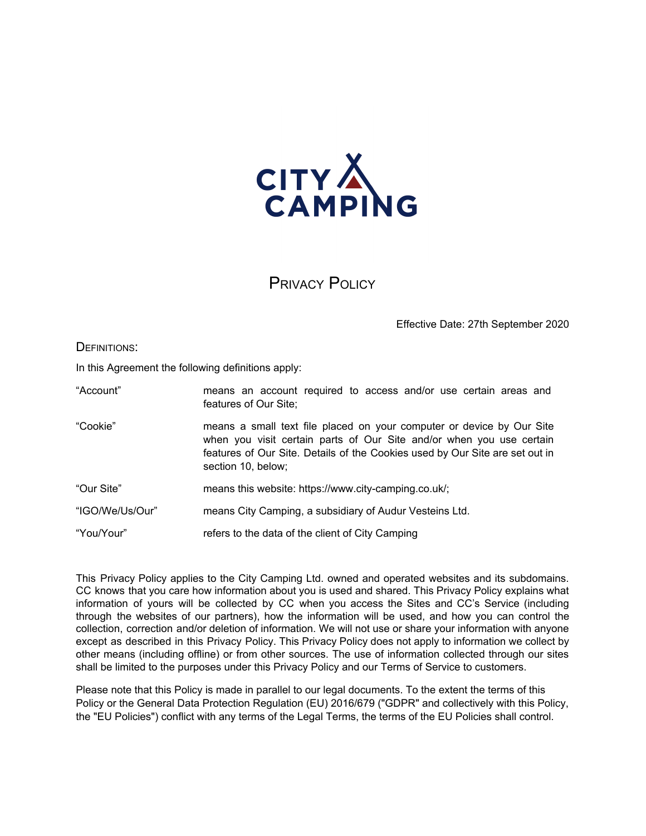

PRIVACY POLICY

Effective Date: 27th September 2020

DEFINITIONS:

In this Agreement the following definitions apply:

| "Account" | means an account required to access and/or use certain areas and<br>features of Our Site;                                                                                                                                                           |
|-----------|-----------------------------------------------------------------------------------------------------------------------------------------------------------------------------------------------------------------------------------------------------|
| "Cookie"  | means a small text file placed on your computer or device by Our Site<br>when you visit certain parts of Our Site and/or when you use certain<br>features of Our Site. Details of the Cookies used by Our Site are set out in<br>section 10, below; |

- "Our Site" means this website: https://www.city-camping.co.uk/;
- "IGO/We/Us/Our" means City Camping, a subsidiary of Audur Vesteins Ltd.
- "You/Your" refers to the data of the client of City Camping

This Privacy Policy applies to the City Camping Ltd. owned and operated websites and its subdomains. CC knows that you care how information about you is used and shared. This Privacy Policy explains what information of yours will be collected by CC when you access the Sites and CC's Service (including through the websites of our partners), how the information will be used, and how you can control the collection, correction and/or deletion of information. We will not use or share your information with anyone except as described in this Privacy Policy. This Privacy Policy does not apply to information we collect by other means (including offline) or from other sources. The use of information collected through our sites shall be limited to the purposes under this Privacy Policy and our Terms of Service to customers.

Please note that this Policy is made in parallel to our legal documents. To the extent the terms of this Policy or the General Data Protection Regulation (EU) 2016/679 ("GDPR" and collectively with this Policy, the "EU Policies") conflict with any terms of the Legal Terms, the terms of the EU Policies shall control.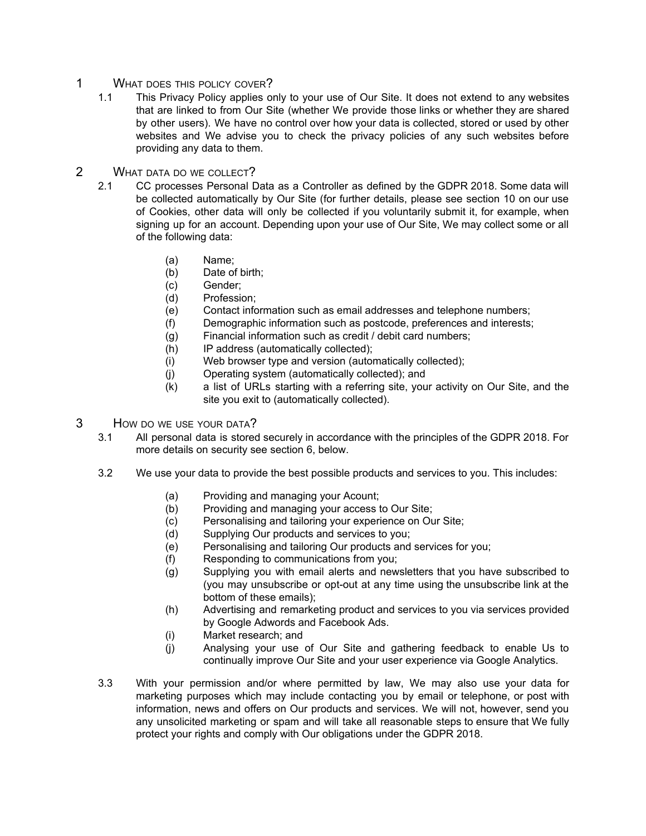- 1 WHAT DOES THIS POLICY COVER?
	- 1.1 This Privacy Policy applies only to your use of Our Site. It does not extend to any websites that are linked to from Our Site (whether We provide those links or whether they are shared by other users). We have no control over how your data is collected, stored or used by other websites and We advise you to check the privacy policies of any such websites before providing any data to them.
- 2 WHAT DATA DO WE COLLECT?
	- 2.1 CC processes Personal Data as a Controller as defined by the GDPR 2018. Some data will be collected automatically by Our Site (for further details, please see section 10 on our use of Cookies, other data will only be collected if you voluntarily submit it, for example, when signing up for an account. Depending upon your use of Our Site, We may collect some or all of the following data:
		- (a) Name;
		- (b) Date of birth;
		- (c) Gender;
		- (d) Profession;
		- (e) Contact information such as email addresses and telephone numbers;
		- (f) Demographic information such as postcode, preferences and interests;
		- (g) Financial information such as credit / debit card numbers;
		- (h) IP address (automatically collected);
		- (i) Web browser type and version (automatically collected);
		- (j) Operating system (automatically collected); and
		- (k) a list of URLs starting with a referring site, your activity on Our Site, and the site you exit to (automatically collected).
- 3 HOW DO WE USE YOUR DATA?
	- 3.1 All personal data is stored securely in accordance with the principles of the GDPR 2018. For more details on security see section 6, below.
	- 3.2 We use your data to provide the best possible products and services to you. This includes:
		- (a) Providing and managing your Acount;
		- (b) Providing and managing your access to Our Site;
		- (c) Personalising and tailoring your experience on Our Site;
		- (d) Supplying Our products and services to you;
		- (e) Personalising and tailoring Our products and services for you;
		- (f) Responding to communications from you;
		- (g) Supplying you with email alerts and newsletters that you have subscribed to (you may unsubscribe or opt-out at any time using the unsubscribe link at the bottom of these emails);
		- (h) Advertising and remarketing product and services to you via services provided by Google Adwords and Facebook Ads.
		- (i) Market research; and
		- (j) Analysing your use of Our Site and gathering feedback to enable Us to continually improve Our Site and your user experience via Google Analytics.
	- 3.3 With your permission and/or where permitted by law, We may also use your data for marketing purposes which may include contacting you by email or telephone, or post with information, news and offers on Our products and services. We will not, however, send you any unsolicited marketing or spam and will take all reasonable steps to ensure that We fully protect your rights and comply with Our obligations under the GDPR 2018.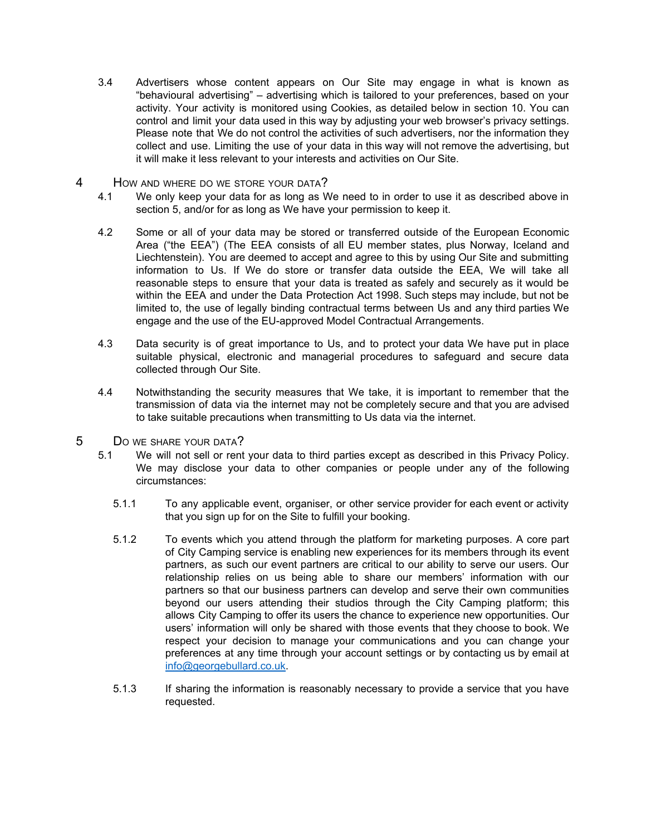- 3.4 Advertisers whose content appears on Our Site may engage in what is known as "behavioural advertising" – advertising which is tailored to your preferences, based on your activity. Your activity is monitored using Cookies, as detailed below in section 10. You can control and limit your data used in this way by adjusting your web browser's privacy settings. Please note that We do not control the activities of such advertisers, nor the information they collect and use. Limiting the use of your data in this way will not remove the advertising, but it will make it less relevant to your interests and activities on Our Site.
- 4 How and where do we store your data?
	- 4.1 We only keep your data for as long as We need to in order to use it as described above in section 5, and/or for as long as We have your permission to keep it.
	- 4.2 Some or all of your data may be stored or transferred outside of the European Economic Area ("the EEA") (The EEA consists of all EU member states, plus Norway, Iceland and Liechtenstein). You are deemed to accept and agree to this by using Our Site and submitting information to Us. If We do store or transfer data outside the EEA, We will take all reasonable steps to ensure that your data is treated as safely and securely as it would be within the EEA and under the Data Protection Act 1998. Such steps may include, but not be limited to, the use of legally binding contractual terms between Us and any third parties We engage and the use of the EU-approved Model Contractual Arrangements.
	- 4.3 Data security is of great importance to Us, and to protect your data We have put in place suitable physical, electronic and managerial procedures to safeguard and secure data collected through Our Site.
	- 4.4 Notwithstanding the security measures that We take, it is important to remember that the transmission of data via the internet may not be completely secure and that you are advised to take suitable precautions when transmitting to Us data via the internet.
- 5 D<sup>O</sup> WE SHARE YOUR DATA?
	- 5.1 We will not sell or rent your data to third parties except as described in this Privacy Policy. We may disclose your data to other companies or people under any of the following circumstances:
		- 5.1.1 To any applicable event, organiser, or other service provider for each event or activity that you sign up for on the Site to fulfill your booking.
		- 5.1.2 To events which you attend through the platform for marketing purposes. A core part of City Camping service is enabling new experiences for its members through its event partners, as such our event partners are critical to our ability to serve our users. Our relationship relies on us being able to share our members' information with our partners so that our business partners can develop and serve their own communities beyond our users attending their studios through the City Camping platform; this allows City Camping to offer its users the chance to experience new opportunities. Our users' information will only be shared with those events that they choose to book. We respect your decision to manage your communications and you can change your preferences at any time through your account settings or by contacting us by email at [info@georgebullard.co.uk.](mailto:info@igoadventures.com)
		- 5.1.3 If sharing the information is reasonably necessary to provide a service that you have requested.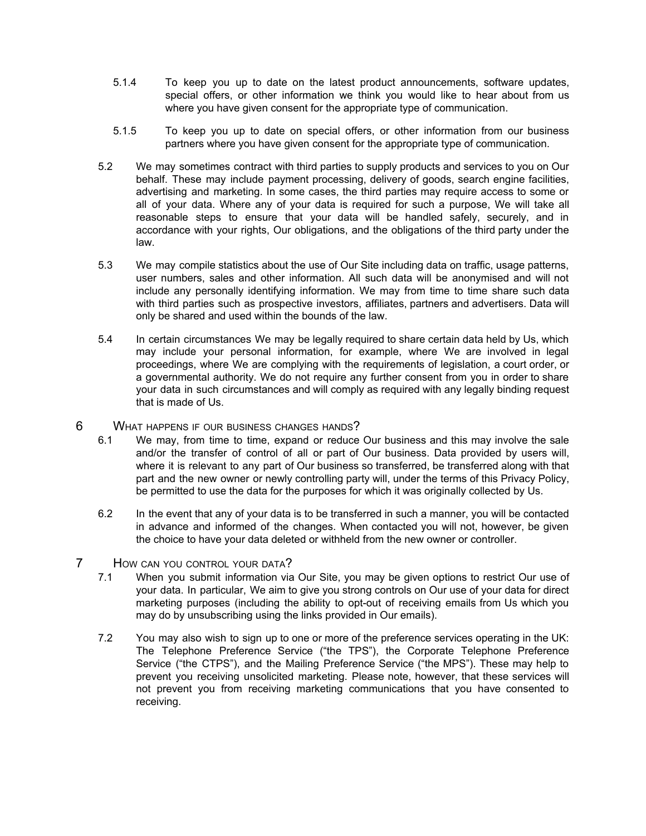- 5.1.4 To keep you up to date on the latest product announcements, software updates, special offers, or other information we think you would like to hear about from us where you have given consent for the appropriate type of communication.
- 5.1.5 To keep you up to date on special offers, or other information from our business partners where you have given consent for the appropriate type of communication.
- 5.2 We may sometimes contract with third parties to supply products and services to you on Our behalf. These may include payment processing, delivery of goods, search engine facilities, advertising and marketing. In some cases, the third parties may require access to some or all of your data. Where any of your data is required for such a purpose, We will take all reasonable steps to ensure that your data will be handled safely, securely, and in accordance with your rights, Our obligations, and the obligations of the third party under the law.
- 5.3 We may compile statistics about the use of Our Site including data on traffic, usage patterns, user numbers, sales and other information. All such data will be anonymised and will not include any personally identifying information. We may from time to time share such data with third parties such as prospective investors, affiliates, partners and advertisers. Data will only be shared and used within the bounds of the law.
- 5.4 In certain circumstances We may be legally required to share certain data held by Us, which may include your personal information, for example, where We are involved in legal proceedings, where We are complying with the requirements of legislation, a court order, or a governmental authority. We do not require any further consent from you in order to share your data in such circumstances and will comply as required with any legally binding request that is made of Us.
- 6 WHAT HAPPENS IF OUR BUSINESS CHANGES HANDS?
	- 6.1 We may, from time to time, expand or reduce Our business and this may involve the sale and/or the transfer of control of all or part of Our business. Data provided by users will, where it is relevant to any part of Our business so transferred, be transferred along with that part and the new owner or newly controlling party will, under the terms of this Privacy Policy, be permitted to use the data for the purposes for which it was originally collected by Us.
	- 6.2 In the event that any of your data is to be transferred in such a manner, you will be contacted in advance and informed of the changes. When contacted you will not, however, be given the choice to have your data deleted or withheld from the new owner or controller.
- 7 HOW CAN YOU CONTROL YOUR DATA?
	- 7.1 When you submit information via Our Site, you may be given options to restrict Our use of your data. In particular, We aim to give you strong controls on Our use of your data for direct marketing purposes (including the ability to opt-out of receiving emails from Us which you may do by unsubscribing using the links provided in Our emails).
	- 7.2 You may also wish to sign up to one or more of the preference services operating in the UK: The Telephone Preference Service ("the TPS"), the Corporate Telephone Preference Service ("the CTPS"), and the Mailing Preference Service ("the MPS"). These may help to prevent you receiving unsolicited marketing. Please note, however, that these services will not prevent you from receiving marketing communications that you have consented to receiving.